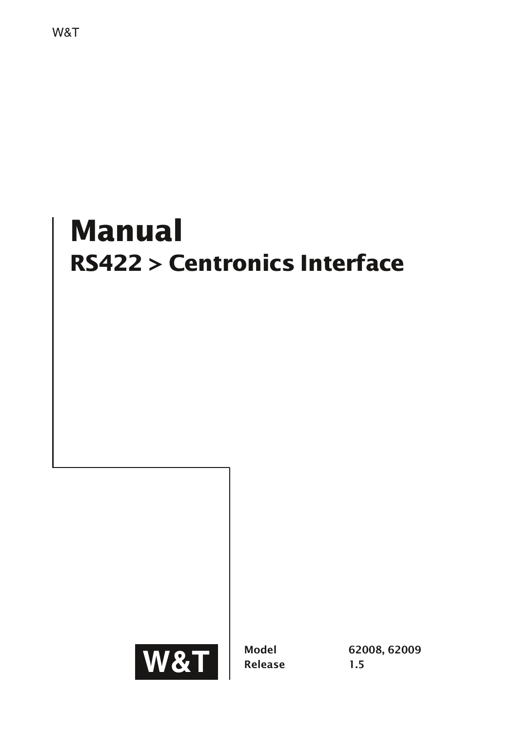# **Manual RS422 > Centronics Interface**

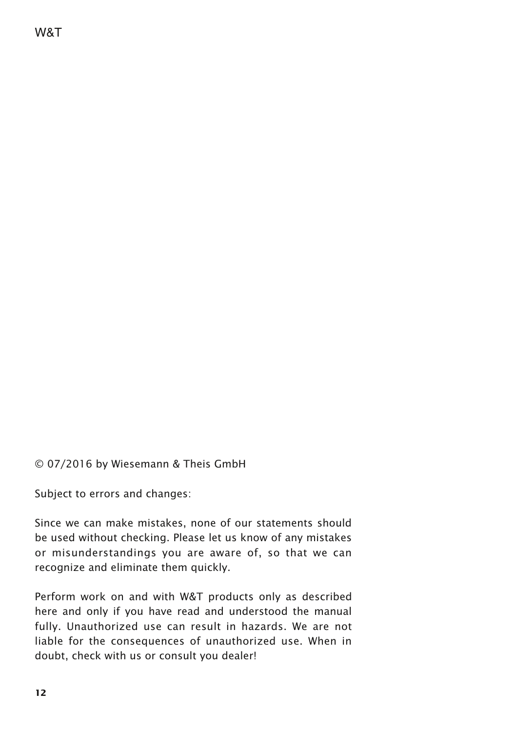© 07/2016 by Wiesemann & Theis GmbH

Subject to errors and changes:

Since we can make mistakes, none of our statements should be used without checking. Please let us know of any mistakes or misunderstandings you are aware of, so that we can recognize and eliminate them quickly.

Perform work on and with W&T products only as described here and only if you have read and understood the manual fully. Unauthorized use can result in hazards. We are not liable for the consequences of unauthorized use. When in doubt, check with us or consult you dealer!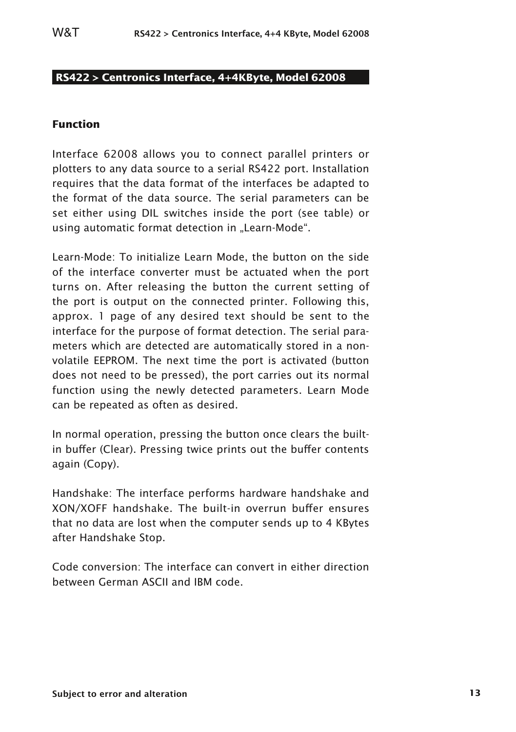# **RS422 > Centronics Interface, 4+4KByte, Model 62008**

## **Function**

Interface 62008 allows you to connect parallel printers or plotters to any data source to a serial RS422 port. Installation requires that the data format of the interfaces be adapted to the format of the data source. The serial parameters can be set either using DIL switches inside the port (see table) or using automatic format detection in "Learn-Mode".

Learn-Mode: To initialize Learn Mode, the button on the side of the interface converter must be actuated when the port turns on. After releasing the button the current setting of the port is output on the connected printer. Following this, approx. 1 page of any desired text should be sent to the interface for the purpose of format detection. The serial parameters which are detected are automatically stored in a nonvolatile EEPROM. The next time the port is activated (button does not need to be pressed), the port carries out its normal function using the newly detected parameters. Learn Mode can be repeated as often as desired.

In normal operation, pressing the button once clears the builtin buffer (Clear). Pressing twice prints out the buffer contents again (Copy).

Handshake: The interface performs hardware handshake and XON/XOFF handshake. The built-in overrun buffer ensures that no data are lost when the computer sends up to 4 KBytes after Handshake Stop.

Code conversion: The interface can convert in either direction between German ASCII and IBM code.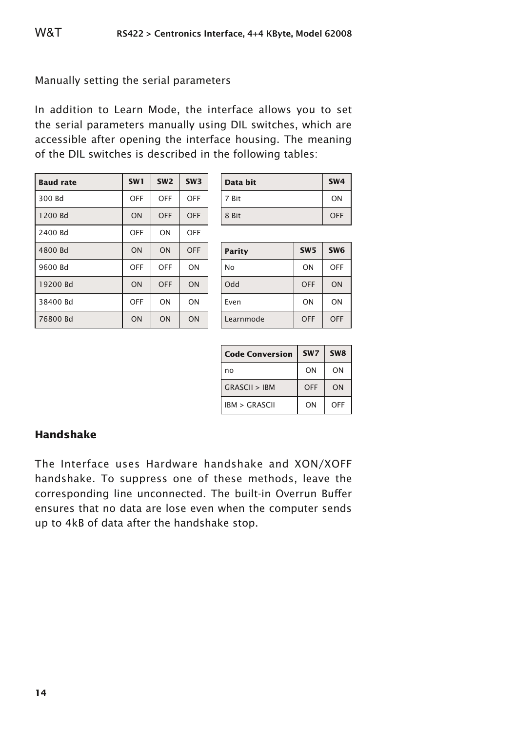# Manually setting the serial parameters

In addition to Learn Mode, the interface allows you to set the serial parameters manually using DIL switches, which are accessible after opening the interface housing. The meaning of the DIL switches is described in the following tables:

| <b>Baud rate</b> | SW <sub>1</sub> | SW <sub>2</sub> | SW3 |
|------------------|-----------------|-----------------|-----|
| 300 Bd           | OFF             | OFF             | OFF |
| 1200 Bd          | ON              | OFF             | OFF |
| 2400 Bd          | OFF             | ON              | OFF |
| 4800 Bd          | ON              | ON              | OFF |
| 9600 Bd          | OFF             | OFF             | ON  |
| 19200 Bd         | ON              | OFF             | ON  |
| 38400 Bd         | OFF             | ON              | ON  |
| 76800 Bd         | ON              | ON              | ON  |

| Data bit | SW <sub>4</sub> |
|----------|-----------------|
| 7 Bit    | ON              |
| 8 Bit    | <b>OFF</b>      |

| <b>Parity</b> | SW <sub>5</sub> | SW <sub>6</sub> |
|---------------|-----------------|-----------------|
| No            | ON              | OFF             |
| Odd           | OFF             | ON              |
| Even          | ON              | ON              |
| Learnmode     | OFF             | OFF             |

| <b>Code Conversion</b> | SW <sub>7</sub> | SW <sub>8</sub> |
|------------------------|-----------------|-----------------|
| no                     | ON              | ON              |
| GRASCH > IRM           | OFF             | ON              |
| IBM > GRASCH           | ON              | OFF             |

# **Handshake**

The Interface uses Hardware handshake and XON/XOFF handshake. To suppress one of these methods, leave the corresponding line unconnected. The built-in Overrun Buffer ensures that no data are lose even when the computer sends up to 4kB of data after the handshake stop.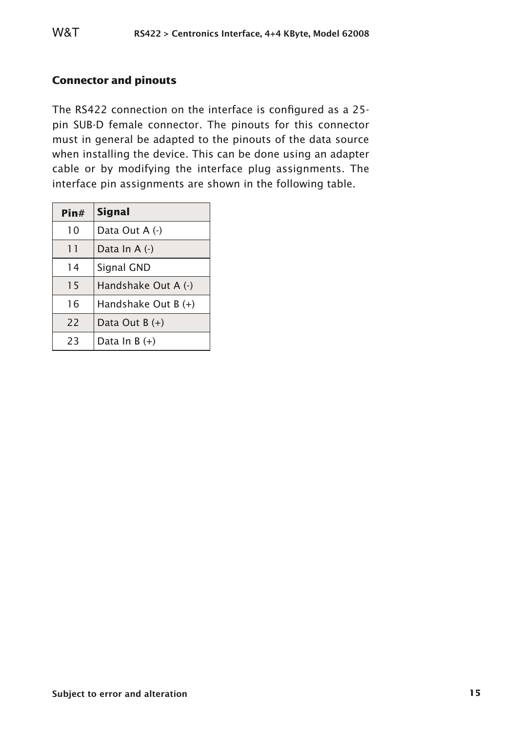# **Connector and pinouts**

The RS422 connection on the interface is configured as a 25 pin SUB-D female connector. The pinouts for this connector must in general be adapted to the pinouts of the data source when installing the device. This can be done using an adapter cable or by modifying the interface plug assignments. The interface pin assignments are shown in the following table.

| Pin# | <b>Signal</b>       |
|------|---------------------|
| 10   | Data Out A (-)      |
| 11   | Data In A (-)       |
| 14   | Signal GND          |
| 15   | Handshake Out A (-) |
| 16   | Handshake Out B (+) |
| 22   | Data Out $B (+)$    |
| 23   | Data In $B (+)$     |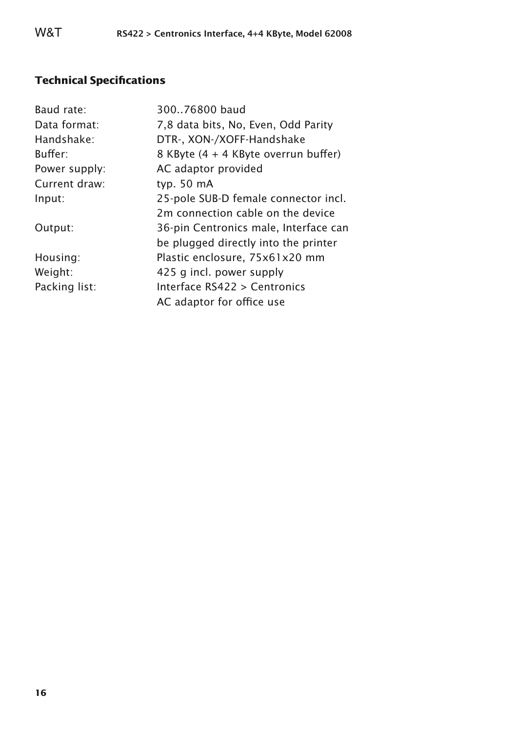# **Technical Specifications**

| Baud rate:    | 300.76800 baud                        |
|---------------|---------------------------------------|
| Data format:  | 7,8 data bits, No, Even, Odd Parity   |
| Handshake:    | DTR-, XON-/XOFF-Handshake             |
| Buffer:       | 8 KByte (4 + 4 KByte overrun buffer)  |
| Power supply: | AC adaptor provided                   |
| Current draw: | typ. $50 \text{ mA}$                  |
| Input:        | 25-pole SUB-D female connector incl.  |
|               | 2m connection cable on the device     |
| Output:       | 36-pin Centronics male, Interface can |
|               | be plugged directly into the printer  |
| Housing:      | Plastic enclosure, 75x61x20 mm        |
| Weight:       | 425 g incl. power supply              |
| Packing list: | Interface RS422 > Centronics          |
|               | AC adaptor for office use             |
|               |                                       |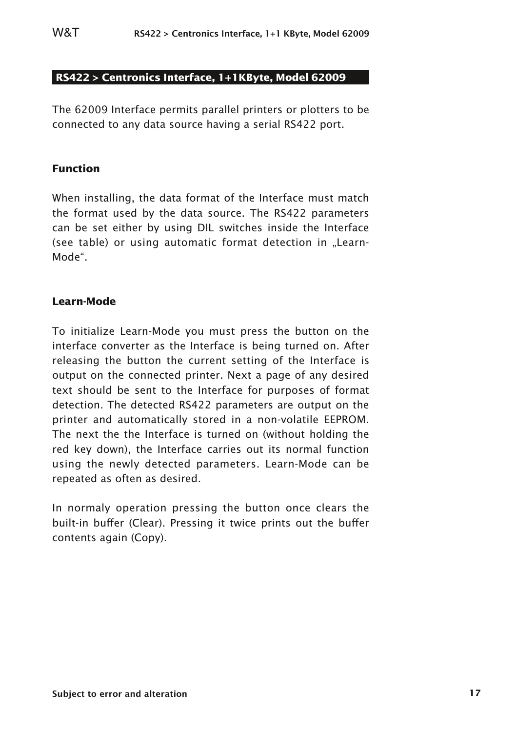# **RS422 > Centronics Interface, 1+1KByte, Model 62009**

The 62009 Interface permits parallel printers or plotters to be connected to any data source having a serial RS422 port.

#### **Function**

When installing, the data format of the Interface must match the format used by the data source. The RS422 parameters can be set either by using DIL switches inside the Interface (see table) or using automatic format detection in "Learn-Mode".

# **Learn-Mode**

To initialize Learn-Mode you must press the button on the interface converter as the Interface is being turned on. After releasing the button the current setting of the Interface is output on the connected printer. Next a page of any desired text should be sent to the Interface for purposes of format detection. The detected RS422 parameters are output on the printer and automatically stored in a non-volatile EEPROM. The next the the Interface is turned on (without holding the red key down), the Interface carries out its normal function using the newly detected parameters. Learn-Mode can be repeated as often as desired.

In normaly operation pressing the button once clears the built-in buffer (Clear). Pressing it twice prints out the buffer contents again (Copy).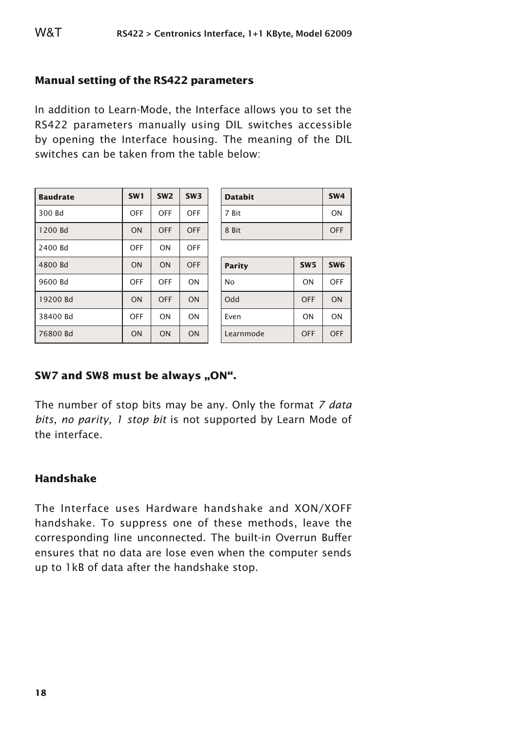# **Manual setting of the RS422 parameters**

In addition to Learn-Mode, the Interface allows you to set the RS422 parameters manually using DIL switches accessible by opening the Interface housing. The meaning of the DIL switches can be taken from the table below:

| <b>Baudrate</b> | SW <sub>1</sub> | SW <sub>2</sub> | SW <sub>3</sub> |
|-----------------|-----------------|-----------------|-----------------|
| 300 Bd          | OFF             | OFF             | OFF             |
| 1200 Bd         | ON              | OFF             | OFF             |
| 2400 Bd         | OFF             | ON              | OFF             |
| 4800 Bd         | ON              | ON              | OFF             |
| 9600 Bd         | OFF             | OFF             | ON              |
| 19200 Bd        | ON              | OFF             | ON              |
| 38400 Bd        | OFF             | ON              | ON              |
| 76800 Bd        | ON              | ON              | ON              |

| <b>Databit</b> | SW <sub>4</sub> |
|----------------|-----------------|
| 7 Bit          | ON              |
| 8 Bit          | OFF             |

| Parity    | SW <sub>5</sub> | SW <sub>6</sub> |
|-----------|-----------------|-----------------|
| No        | ON              | OFF             |
| Odd       | OFF             | ON              |
| Even      | ON              | ON              |
| Learnmode | OFF             | OFF             |

# **SW7 and SW8 must be always ..ON".**

The number of stop bits may be any. Only the format *7 data bits, no parity, 1 stop bit* is not supported by Learn Mode of the interface.

# **Handshake**

The Interface uses Hardware handshake and XON/XOFF handshake. To suppress one of these methods, leave the corresponding line unconnected. The built-in Overrun Buffer ensures that no data are lose even when the computer sends up to 1kB of data after the handshake stop.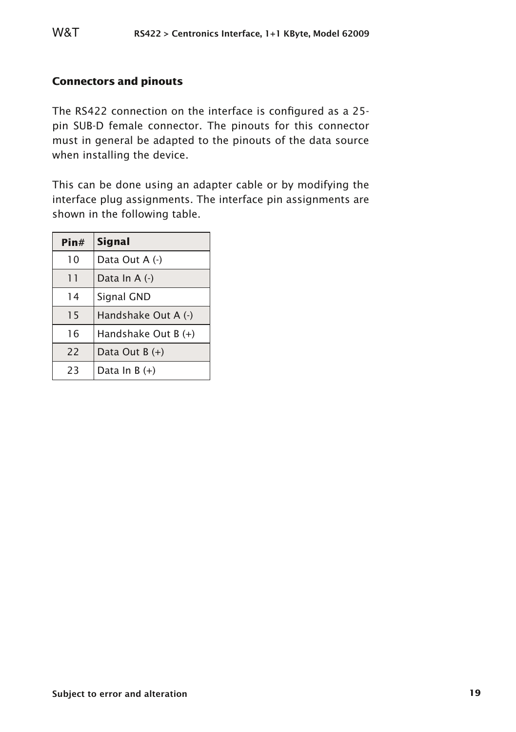## **Connectors and pinouts**

The RS422 connection on the interface is configured as a 25 pin SUB-D female connector. The pinouts for this connector must in general be adapted to the pinouts of the data source when installing the device.

This can be done using an adapter cable or by modifying the interface plug assignments. The interface pin assignments are shown in the following table.

| Pin# | <b>Signal</b>       |
|------|---------------------|
| 10   | Data Out A (-)      |
| 11   | Data In A (-)       |
| 14   | Signal GND          |
| 15   | Handshake Out A (-) |
| 16   | Handshake Out B (+) |
| 22   | Data Out $B (+)$    |
| 23   | Data In B (+)       |